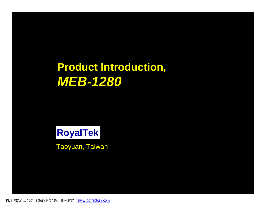# **Product Introduction,** *MEB-1280*

#### **RoyalTek**

Taoyuan, Taiwan

PDF 檔案以 "pdfFactory Pro" 試用版建立 [www.pdffactory.com](http://www.pdffactory.com)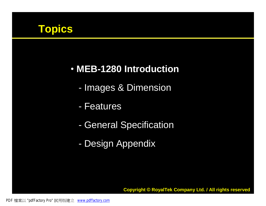

#### • **MEB-1280 Introduction**

- Images & Dimension
- Features
- General Specification
- Design Appendix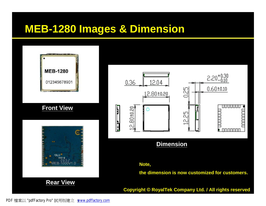#### **MEB-1280 Images & Dimension**





#### **Note,**

**the dimension is now customized for customers.**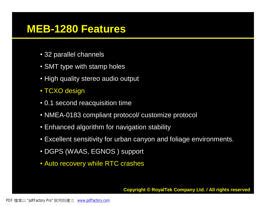#### **MEB-1280 Features**

- 32 parallel channels
- SMT type with stamp holes
- High quality stereo audio output
- TCXO design
- 0.1 second reacquisition time
- NMEA-0183 compliant protocol/ customize protocol
- Enhanced algorithm for navigation stability
- Excellent sensitivity for urban canyon and foliage environments.
- DGPS (WAAS, EGNOS ) support
- Auto recovery while RTC crashes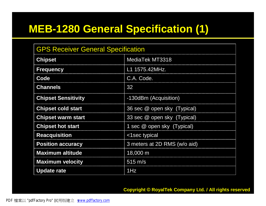# **MEB-1280 General Specification (1)**

| <b>GPS Receiver General Specification</b> |                              |  |
|-------------------------------------------|------------------------------|--|
| <b>Chipset</b>                            | MediaTek MT3318              |  |
| <b>Frequency</b>                          | L1 1575.42MHz.               |  |
| Code                                      | C.A. Code.                   |  |
| <b>Channels</b>                           | 32                           |  |
| <b>Chipset Sensitivity</b>                | -130dBm (Acquisition)        |  |
| <b>Chipset cold start</b>                 | 36 sec @ open sky (Typical)  |  |
| <b>Chipset warm start</b>                 | 33 sec @ open sky (Typical)  |  |
| <b>Chipset hot start</b>                  | 1 sec @ open sky (Typical)   |  |
| <b>Reacquisition</b>                      | <1sec typical                |  |
| <b>Position accuracy</b>                  | 3 meters at 2D RMS (w/o aid) |  |
| <b>Maximum altitude</b>                   | 18,000 m                     |  |
| <b>Maximum velocity</b>                   | $515 \text{ m/s}$            |  |
| <b>Update rate</b>                        | 1Hz                          |  |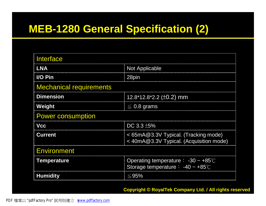# **MEB-1280 General Specification (2)**

| <b>Interface</b>               |                                                                                     |  |  |  |
|--------------------------------|-------------------------------------------------------------------------------------|--|--|--|
| <b>LNA</b>                     | <b>Not Applicable</b>                                                               |  |  |  |
| I/O Pin                        | 28pin                                                                               |  |  |  |
| <b>Mechanical requirements</b> |                                                                                     |  |  |  |
| <b>Dimension</b>               | 12.8*12.8*2.2 ( $\pm$ 0.2) mm                                                       |  |  |  |
| Weight                         | $\leq$ 0.8 grams                                                                    |  |  |  |
| <b>Power consumption</b>       |                                                                                     |  |  |  |
| <b>Vcc</b>                     | DC $3.3 \pm 5\%$                                                                    |  |  |  |
| <b>Current</b>                 | < 65mA@3.3V Typical. (Tracking mode)<br>< 40mA@3.3V Typical. (Acquisition mode)     |  |  |  |
| <b>Environment</b>             |                                                                                     |  |  |  |
| <b>Temperature</b>             | Operating temperature : $-30 \sim +85^{\circ}$<br>Storage temperature : -40 ~ +85°C |  |  |  |
| <b>Humidity</b>                | $\leq$ 95%                                                                          |  |  |  |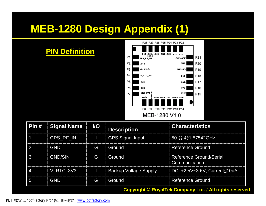# **MEB-1280 Design Appendix (1)**

#### **PIN Definition**



| Pin #                   | <b>Signal Name</b>                                             | I/O | <b>Description</b>           | <b>Characteristics</b>                   |
|-------------------------|----------------------------------------------------------------|-----|------------------------------|------------------------------------------|
| $\overline{\mathbf{1}}$ | GPS RF IN                                                      |     | GPS Signal Input             | 50 $\Omega$ @1.57542GHz                  |
| $\mathbf{P}$            | <b>GND</b>                                                     | G   | : Ground                     | <b>Reference Ground</b>                  |
| -3                      | <b>GND/SIN</b>                                                 | G   | Ground                       | Reference Ground/Serial<br>Communication |
| $\overline{4}$          | V RTC 3V3                                                      |     | <b>Backup Voltage Supply</b> | DC: +2.5V~3.6V, Current≤10uA             |
| -5                      | <b>GND</b>                                                     | G   | Ground                       | <b>Reference Ground</b>                  |
|                         | <b>Copyright © RoyalTek Company Ltd. / All rights reserved</b> |     |                              |                                          |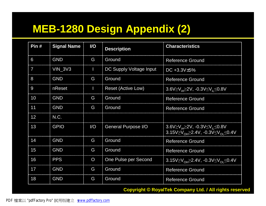# **MEB-1280 Design Appendix (2)**

| Pin#            | <b>Signal Name</b> | <b>I/O</b>             | <b>Description</b>        | <b>Characteristics</b>                                                                                                                                                                             |
|-----------------|--------------------|------------------------|---------------------------|----------------------------------------------------------------------------------------------------------------------------------------------------------------------------------------------------|
| 6               | <b>GND</b>         | G                      | Ground                    | <b>Reference Ground</b>                                                                                                                                                                            |
| $\overline{7}$  | $VIN_3V3$          | п                      | DC Supply Voltage Input   | DC +3.3V $\pm$ 5%                                                                                                                                                                                  |
| 8               | <b>GND</b>         | G                      | Ground                    | <b>Reference Ground</b>                                                                                                                                                                            |
| 9               | nReset             | Π                      | <b>Reset (Active Low)</b> | 3.6V $\geq$ V <sub>iH</sub> $\geq$ 2V, -0.3V $\leq$ V <sub>iI</sub> $\leq$ 0.8V                                                                                                                    |
| 10              | <b>GND</b>         | G                      | Ground                    | <b>Reference Ground</b>                                                                                                                                                                            |
| 11              | <b>GND</b>         | G                      | Ground                    | <b>Reference Ground</b>                                                                                                                                                                            |
| 12 <sup>°</sup> | N.C.               |                        |                           |                                                                                                                                                                                                    |
| 13              | <b>GPIO</b>        | $\mathsf{U}\mathsf{O}$ | General Purpose I/O       | $3.6 \text{V} \geq \text{V}_{\text{H}} \geq 2 \text{V}$ , -0.3V $\leq \text{V}_{\text{H}} \leq 0.8 \text{V}$<br>3.15V $\geq$ V <sub>OH</sub> $\geq$ 2.4V, -0.3V $\leq$ V <sub>OI</sub> $\leq$ 0.4V |
| 14              | <b>GND</b>         | G                      | Ground                    | <b>Reference Ground</b>                                                                                                                                                                            |
| 15              | <b>GND</b>         | G                      | Ground                    | <b>Reference Ground</b>                                                                                                                                                                            |
| 16              | <b>PPS</b>         | $\mathsf{O}$           | One Pulse per Second      | $3.15 \sqrt{2}V_{OH} \ge 2.4 V$ , -0.3V $\le V_{OH} \le 0.4 V$                                                                                                                                     |
| 17              | <b>GND</b>         | G                      | Ground                    | <b>Reference Ground</b>                                                                                                                                                                            |
| 18              | <b>GND</b>         | G                      | Ground                    | <b>Reference Ground</b>                                                                                                                                                                            |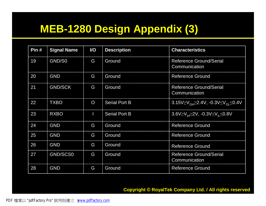# **MEB-1280 Design Appendix (3)**

| Pin# | <b>Signal Name</b> | <b>I/O</b> | <b>Description</b>   | <b>Characteristics</b>                                                      |
|------|--------------------|------------|----------------------|-----------------------------------------------------------------------------|
| 19   | GND/S0             | G          | Ground               | <b>Reference Ground/Serial</b><br>Communication                             |
| 20   | <b>GND</b>         | G          | Ground               | <b>Reference Ground</b>                                                     |
| 21   | <b>GND/SCK</b>     | G          | Ground               | <b>Reference Ground/Serial</b><br>Communication                             |
| 22   | <b>TXBO</b>        | O          | <b>Serial Port B</b> | $3.15V \geq V_{\text{OH}} \geq 2.4V$ , $-0.3V \leq V_{\text{OH}} \leq 0.4V$ |
| 23   | <b>RXBO</b>        | ı          | <b>Serial Port B</b> | $3.6V \geq V_{\text{H}} \geq 2V$ , $-0.3V \leq V_{\text{H}} \leq 0.8V$      |
| 24   | <b>GND</b>         | G          | Ground               | <b>Reference Ground</b>                                                     |
| 25   | <b>GND</b>         | G          | Ground               | <b>Reference Ground</b>                                                     |
| 26   | <b>GND</b>         | G          | Ground               | <b>Reference Ground</b>                                                     |
| 27   | GND/SCS0           | G          | Ground               | <b>Reference Ground/Serial</b><br>Communication                             |
| 28   | <b>GND</b>         | G          | Ground               | <b>Reference Ground</b>                                                     |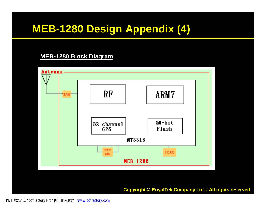# **MEB-1280 Design Appendix (4)**

#### **MEB-1280 Block Diagram**

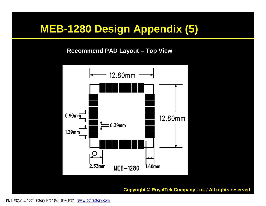### **MEB-1280 Design Appendix (5)**

**Recommend PAD Layout – Top View**

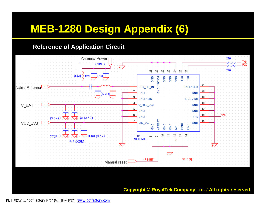### **MEB-1280 Design Appendix (6)**

#### **Reference of Application Circuit**

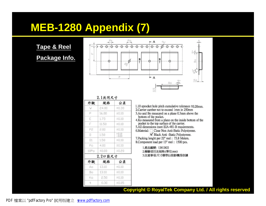### **MEB-1280 Appendix (7)**

**Tape & Reel** 

**Package Info.** 



2.1共同尺寸

| 規格      | 公差                 |
|---------|--------------------|
| 24.00   | ±0.30              |
| 16.00   | ±0.10              |
| 1.75    | ±0.10              |
| 11.50   | ±0.10              |
| 2.00    | ±0.10              |
| 1.50    | $^{+0.10}_{-0.00}$ |
| 1.50    | ±0.10              |
| 4.00    | ±0.10              |
| 40.00   | ±0.20              |
| 2.2口袋尺寸 |                    |
| 規格      | 公差                 |
| 13.10   | ±0.10              |
| 13.10   | ±0.10              |
| 2.50    | ±0.10              |
| 0.30    | ±0.05              |
|         |                    |

1.10 sprocket hole pitch cumulative tolerance ±0.20mm. 2. Carrier camber not to exceed 1mm in 250mm 3.Ao and Bo measured on a plane 0.3mm above the

bottom of the pocket. 4.Ko measured from a plane on the inside bottom of the pocket to the top surface of the carrier.

5.All dimensions meet EIA-481-B requirements.

6. Material: □ Clear Non Anti-Static Polystyrene.

Black Anti -Static Polystyrene. 7. Packing lenght per 22" reel: 73.8 Meters. 8. Component load per 13" reel: 1500 pcs.

> 1.產品編號: 12812822 2.檢驗項目及規格:(單位:mm) 3.注意事項:尺寸標準以投影機爲依據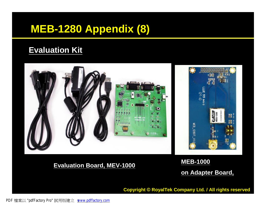# **MEB-1280 Appendix (8)**

#### **Evaluation Kit**